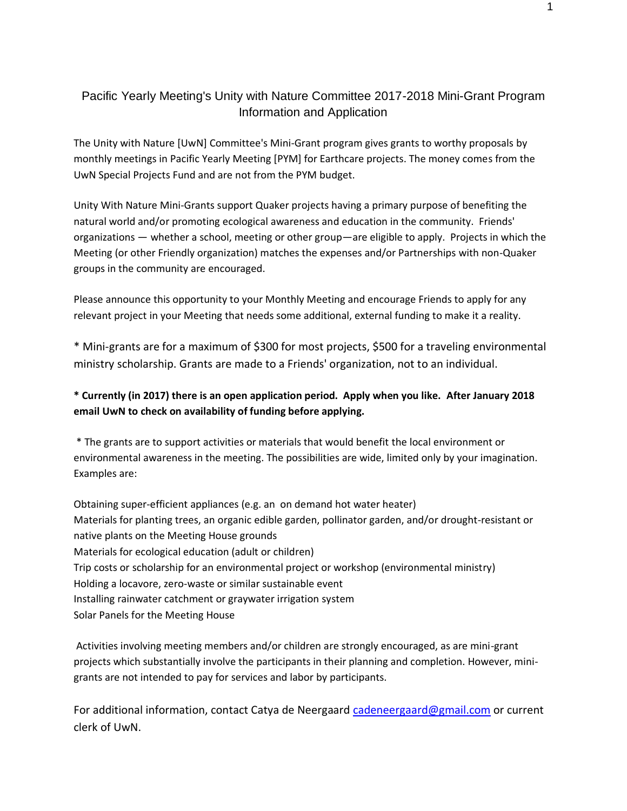## Pacific Yearly Meeting's Unity with Nature Committee 2017-2018 Mini-Grant Program Information and Application

The Unity with Nature [UwN] Committee's Mini-Grant program gives grants to worthy proposals by monthly meetings in Pacific Yearly Meeting [PYM] for Earthcare projects. The money comes from the UwN Special Projects Fund and are not from the PYM budget.

Unity With Nature Mini-Grants support Quaker projects having a primary purpose of benefiting the natural world and/or promoting ecological awareness and education in the community. Friends' organizations — whether a school, meeting or other group—are eligible to apply. Projects in which the Meeting (or other Friendly organization) matches the expenses and/or Partnerships with non-Quaker groups in the community are encouraged.

Please announce this opportunity to your Monthly Meeting and encourage Friends to apply for any relevant project in your Meeting that needs some additional, external funding to make it a reality.

\* Mini-grants are for a maximum of \$300 for most projects, \$500 for a traveling environmental ministry scholarship. Grants are made to a Friends' organization, not to an individual.

## **\* Currently (in 2017) there is an open application period. Apply when you like. After January 2018 email UwN to check on availability of funding before applying.**

\* The grants are to support activities or materials that would benefit the local environment or environmental awareness in the meeting. The possibilities are wide, limited only by your imagination. Examples are:

Obtaining super-efficient appliances (e.g. an on demand hot water heater) Materials for planting trees, an organic edible garden, pollinator garden, and/or drought-resistant or native plants on the Meeting House grounds Materials for ecological education (adult or children) Trip costs or scholarship for an environmental project or workshop (environmental ministry) Holding a locavore, zero-waste or similar sustainable event Installing rainwater catchment or graywater irrigation system Solar Panels for the Meeting House

Activities involving meeting members and/or children are strongly encouraged, as are mini-grant projects which substantially involve the participants in their planning and completion. However, minigrants are not intended to pay for services and labor by participants.

For additional information, contact Catya de Neergaard [cadeneergaard@gmail.com](mailto:cadeneergaard@gmail.com) or current clerk of UwN.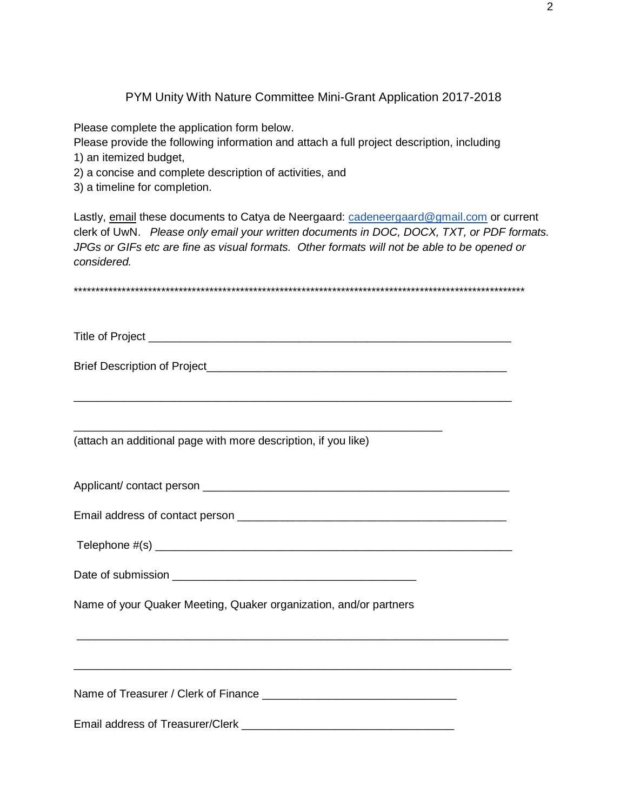PYM Unity With Nature Committee Mini-Grant Application 2017-2018

Please complete the application form below.

Please provide the following information and attach a full project description, including 1) an itemized budget,

2) a concise and complete description of activities, and

3) a timeline for completion.

Lastly, email these documents to Catya de Neergaard: [cadeneergaard@gmail.com](mailto:cadeneergaard@gmail.com) or current clerk of UwN. *Please only email your written documents in DOC, DOCX, TXT, or PDF formats. JPGs or GIFs etc are fine as visual formats. Other formats will not be able to be opened or considered.*

| (attach an additional page with more description, if you like)    |
|-------------------------------------------------------------------|
|                                                                   |
|                                                                   |
|                                                                   |
|                                                                   |
| Name of your Quaker Meeting, Quaker organization, and/or partners |
|                                                                   |
|                                                                   |
|                                                                   |